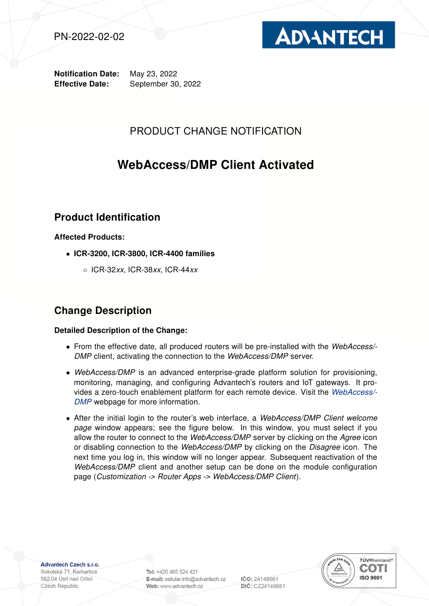



Notification Date: May 23, 2022 Effective Date: September 30, 2022

## PRODUCT CHANGE NOTIFICATION

# WebAccess/DMP Client Activated

## Product Identification

### Affected Products:

- ICR-3200, ICR-3800, ICR-4400 families
	- ICR-32xx, ICR-38xx, ICR-44xx

## Change Description

### Detailed Description of the Change:

- From the effective date, all produced routers will be pre-installed with the WebAccess/- DMP client, activating the connection to the WebAccess/DMP server.
- WebAccess/DMP is an advanced enterprise-grade platform solution for provisioning, monitoring, managing, and configuring Advantech's routers and IoT gateways. It provides a zero-touch enablement platform for each remote device. Visit the [WebAccess/-](https://icr.advantech.cz/products/software/webaccess-dmp-gen2) [DMP](https://icr.advantech.cz/products/software/webaccess-dmp-gen2) webpage for more information.
- After the initial login to the router's web interface, a WebAccess/DMP Client welcome page window appears; see the figure below. In this window, you must select if you allow the router to connect to the WebAccess/DMP server by clicking on the Agree icon or disabling connection to the WebAccess/DMP by clicking on the Disagree icon. The next time you log in, this window will no longer appear. Subsequent reactivation of the WebAccess/DMP client and another setup can be done on the module configuration page (Customization -> Router Apps -> WebAccess/DMP Client).

Advantech Czech s.r.o.

Sokolská 71, Kerhartice 562 04 Ústí nad Orlicí Czech Republic

Tel: +420 465 524 421 E-mail: cellular.info@advantech.cz Web: www.advantech.cz

IČO: 24148661 DIČ: CZ24148661